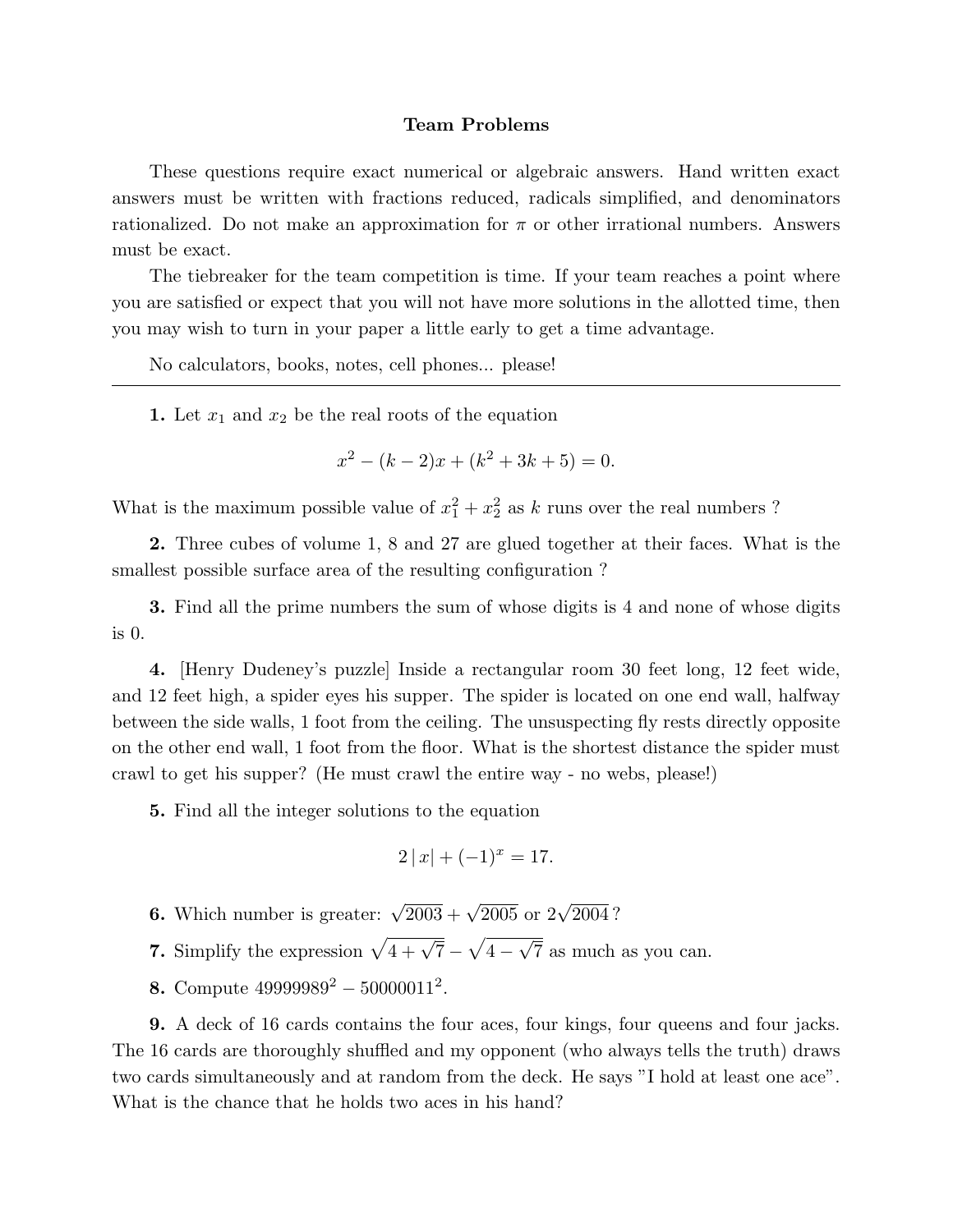## Team Problems

These questions require exact numerical or algebraic answers. Hand written exact answers must be written with fractions reduced, radicals simplified, and denominators rationalized. Do not make an approximation for  $\pi$  or other irrational numbers. Answers must be exact.

The tiebreaker for the team competition is time. If your team reaches a point where you are satisfied or expect that you will not have more solutions in the allotted time, then you may wish to turn in your paper a little early to get a time advantage.

No calculators, books, notes, cell phones... please!

1. Let  $x_1$  and  $x_2$  be the real roots of the equation

$$
x^{2} - (k - 2)x + (k^{2} + 3k + 5) = 0.
$$

What is the maximum possible value of  $x_1^2 + x_2^2$  as k runs over the real numbers ?

2. Three cubes of volume 1, 8 and 27 are glued together at their faces. What is the smallest possible surface area of the resulting configuration ?

3. Find all the prime numbers the sum of whose digits is 4 and none of whose digits is 0.

4. [Henry Dudeney's puzzle] Inside a rectangular room 30 feet long, 12 feet wide, and 12 feet high, a spider eyes his supper. The spider is located on one end wall, halfway between the side walls, 1 foot from the ceiling. The unsuspecting fly rests directly opposite on the other end wall, 1 foot from the floor. What is the shortest distance the spider must crawl to get his supper? (He must crawl the entire way - no webs, please!)

5. Find all the integer solutions to the equation

$$
2|x| + (-1)^x = 17.
$$

- **6.** Which number is greater:  $\sqrt{2003} + \sqrt{2005}$  or  $2\sqrt{2004}$ ?
- 7. Simplify the expression  $\sqrt{4 + \sqrt{7}}$  p 4 − √ 7 as much as you can.
- 8. Compute  $49999989^2 50000011^2$ .

9. A deck of 16 cards contains the four aces, four kings, four queens and four jacks. The 16 cards are thoroughly shuffled and my opponent (who always tells the truth) draws two cards simultaneously and at random from the deck. He says "I hold at least one ace". What is the chance that he holds two aces in his hand?